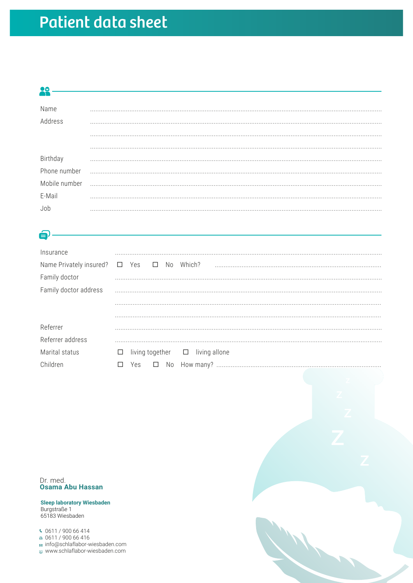## **Patient data sheet**

### **28**

| Name                     |  |
|--------------------------|--|
| Address                  |  |
|                          |  |
|                          |  |
|                          |  |
| Birthday<br>Phone number |  |
| Mobile number            |  |
| E-Mail                   |  |
| Joł                      |  |

### $\boldsymbol{\Theta}$

| Insurance                                           |                                                |
|-----------------------------------------------------|------------------------------------------------|
| Name Privately insured? □ Yes □ No<br>Family doctor | Which?                                         |
| Family doctor address                               |                                                |
|                                                     |                                                |
|                                                     |                                                |
| Referrer                                            |                                                |
| Referrer address                                    |                                                |
| Marital status                                      | living together $\Box$ living allone<br>$\Box$ |
| Children                                            | Yes                                            |

Dr. med.<br>Osama Abu Hassan

**Sleep laboratory Wiesbaden** Burgstraße 1 65183 Wiesbaden

⊠ info@schlaflabor-wiesbaden.com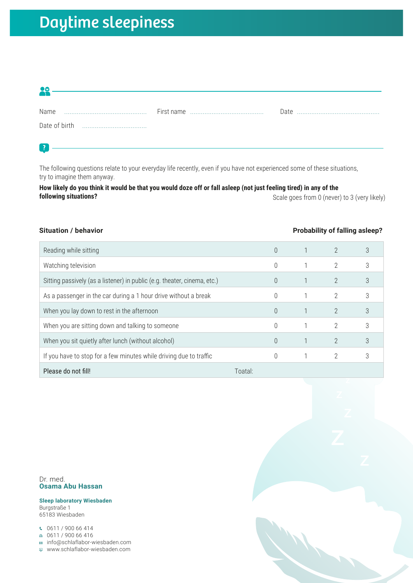# Daytime sleepiness

| 90         |  |
|------------|--|
|            |  |
| Name       |  |
|            |  |
|            |  |
|            |  |
| $\lceil$ ? |  |

The following questions relate to your everyday life recently, even if you have not experienced some of these situations, try to imagine them anyway.

**How likely do you think it would be that you would doze off or fall asleep (not just feeling tired) in any of the following situations?** Scale goes from 0 (never) to 3 (very likely)

| <b>Situation / behavior</b>                                              |          |                | <b>Probability of falling asleep?</b> |
|--------------------------------------------------------------------------|----------|----------------|---------------------------------------|
| Reading while sitting                                                    | 0        | $\overline{2}$ | 3                                     |
| Watching television                                                      | $\Omega$ | 2              | 3                                     |
| Sitting passively (as a listener) in public (e.g. theater, cinema, etc.) | $\Omega$ | $\overline{2}$ | 3                                     |
| As a passenger in the car during a 1 hour drive without a break          | $\Omega$ | 2              | 3                                     |
| When you lay down to rest in the afternoon                               | $\Omega$ | $\overline{2}$ | 3                                     |
| When you are sitting down and talking to someone                         | $\Omega$ | 2              | 3                                     |
| When you sit quietly after lunch (without alcohol)                       | $\Omega$ | $\mathfrak{D}$ | 3                                     |
| If you have to stop for a few minutes while driving due to traffic       | $\Omega$ | 2              | 3                                     |
| Please do not fill!                                                      | Toatal:  |                |                                       |

Dr. med. **Osama Abu Hassan**

**Sleep laboratory Wiesbaden** Burgstraße 1 65183 Wiesbaden

 $0611 / 90066414$ 

 $0611 / 90066416$ 

info@schlaflabor-wiesbaden.com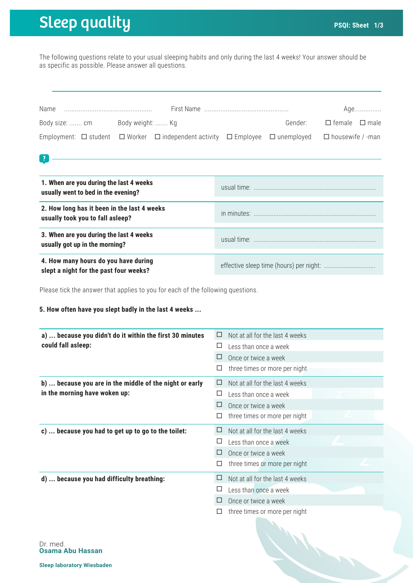# **Sleep quality PSQI:** Sheet 1/3

 $\boxed{2}$ 

The following questions relate to your usual sleeping habits and only during the last 4 weeks! Your answer should be as specific as possible. Please answer all questions.

| Name           |                  |                                                                                                                                |         |                           | Age |
|----------------|------------------|--------------------------------------------------------------------------------------------------------------------------------|---------|---------------------------|-----|
| Body size:  cm | Body weight:  Kg |                                                                                                                                | Gender: | $\Box$ female $\Box$ male |     |
|                |                  | Employment: $\Box$ student $\Box$ Worker $\Box$ independent activity $\Box$ Employee $\Box$ unemployed $\Box$ housewife / -man |         |                           |     |

| 1. When are you during the last 4 weeks<br>usually went to bed in the evening?  |  |
|---------------------------------------------------------------------------------|--|
| 2. How long has it been in the last 4 weeks<br>usually took you to fall asleep? |  |
| 3. When are you during the last 4 weeks<br>usually got up in the morning?       |  |
| 4. How many hours do you have during<br>slept a night for the past four weeks?  |  |

Please tick the answer that applies to you for each of the following questions.

#### **5. How often have you slept badly in the last 4 weeks ...**

| a)  because you didn't do it within the first 30 minutes | Not at all for the last 4 weeks<br>⊔ |
|----------------------------------------------------------|--------------------------------------|
| could fall asleep:                                       | ⊔<br>Less than once a week           |
|                                                          | Once or twice a week                 |
|                                                          | three times or more per night<br>⊔   |
| b)  because you are in the middle of the night or early  | Not at all for the last 4 weeks<br>⊔ |
| in the morning have woken up:                            | Less than once a week<br>⊔           |
|                                                          | Once or twice a week<br>⊔            |
|                                                          | three times or more per night        |
|                                                          |                                      |
| c)  because you had to get up to go to the toilet:       | Not at all for the last 4 weeks<br>⊔ |
|                                                          | Less than once a week<br>⊔           |
|                                                          | Once or twice a week<br>$\Box$       |
|                                                          | three times or more per night<br>⊔   |
| d)  because you had difficulty breathing:                | Not at all for the last 4 weeks<br>⊔ |
|                                                          | Less than once a week<br>ப           |
|                                                          | Once or twice a week                 |

19 Miller

Dr. med. **Osama Abu Hassan**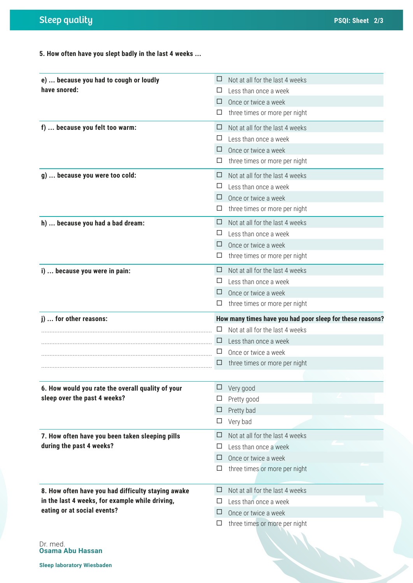**5. How often have you slept badly in the last 4 weeks ...**

| e)  because you had to cough or loudly             | ⊔ | Not at all for the last 4 weeks                           |
|----------------------------------------------------|---|-----------------------------------------------------------|
| have snored:                                       | ப | Less than once a week                                     |
|                                                    | ⊔ | Once or twice a week                                      |
|                                                    | ப | three times or more per night                             |
| f)  because you felt too warm:                     | ⊔ | Not at all for the last 4 weeks                           |
|                                                    | ப | Less than once a week                                     |
|                                                    | ⊔ | Once or twice a week                                      |
|                                                    | ப | three times or more per night                             |
| g)  because you were too cold:                     | ப | Not at all for the last 4 weeks                           |
|                                                    | ⊔ | Less than once a week                                     |
|                                                    | ⊔ | Once or twice a week                                      |
|                                                    |   | three times or more per night                             |
| h)  because you had a bad dream:                   | ⊔ | Not at all for the last 4 weeks                           |
|                                                    |   | Less than once a week                                     |
|                                                    | ப | Once or twice a week                                      |
|                                                    | ப | three times or more per night                             |
| i)  because you were in pain:                      | ⊔ | Not at all for the last 4 weeks                           |
|                                                    | ப | Less than once a week                                     |
|                                                    | ⊔ | Once or twice a week                                      |
|                                                    |   | three times or more per night                             |
| j)  for other reasons:                             |   | How many times have you had poor sleep for these reasons? |
|                                                    |   | Not at all for the last 4 weeks                           |
|                                                    |   | Less than once a week                                     |
|                                                    |   | Once or twice a week                                      |
|                                                    |   | three times or more per night                             |
|                                                    |   |                                                           |
| 6. How would you rate the overall quality of your  | ⊔ | Very good                                                 |
| sleep over the past 4 weeks?                       |   | Pretty good                                               |
|                                                    | ⊔ | Pretty bad                                                |
|                                                    | □ | Very bad                                                  |
| 7. How often have you been taken sleeping pills    | □ | Not at all for the last 4 weeks                           |
| during the past 4 weeks?                           | ப | Less than once a week                                     |
|                                                    | □ | Once or twice a week                                      |
|                                                    | ⊔ | three times or more per night                             |
|                                                    |   |                                                           |
| 8. How often have you had difficulty staying awake | ⊔ | Not at all for the last 4 weeks                           |
| in the last 4 weeks, for example while driving,    | ப | Less than once a week                                     |
| eating or at social events?                        | ⊔ | Once or twice a week                                      |
|                                                    | ப | three times or more per night                             |
|                                                    |   |                                                           |

Dr. med. **Osama Abu Hassan**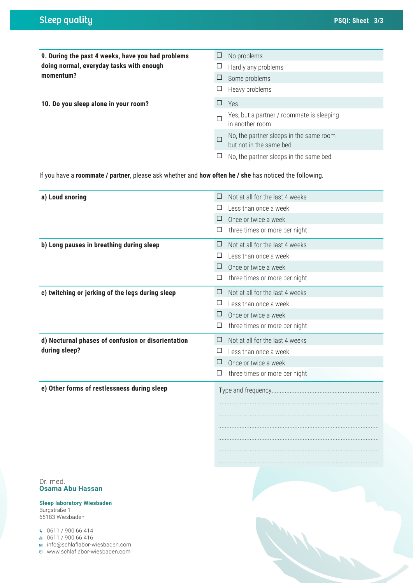| 9. During the past 4 weeks, have you had problems                                                      | No problems<br>Ц                                                        |
|--------------------------------------------------------------------------------------------------------|-------------------------------------------------------------------------|
| doing normal, everyday tasks with enough                                                               | Hardly any problems<br>ப                                                |
| momentum?                                                                                              | Some problems<br>$\Box$                                                 |
|                                                                                                        | Heavy problems<br>□                                                     |
| 10. Do you sleep alone in your room?                                                                   | $\Box$<br>Yes                                                           |
|                                                                                                        | Yes, but a partner / roommate is sleeping<br>П<br>in another room       |
|                                                                                                        | No, the partner sleeps in the same room<br>п<br>but not in the same bed |
|                                                                                                        | No, the partner sleeps in the same bed<br>ப                             |
| If you have a roommate / partner, please ask whether and how often he / she has noticed the following. |                                                                         |
| a) Loud snoring                                                                                        | Not at all for the last 4 weeks<br>⊔                                    |
|                                                                                                        | Less than once a week<br>⊔                                              |
|                                                                                                        | Once or twice a week<br>⊔                                               |
|                                                                                                        | three times or more per night<br>ப                                      |
| b) Long pauses in breathing during sleep                                                               | Not at all for the last 4 weeks<br>Ш                                    |
|                                                                                                        | Less than once a week<br>⊔                                              |
|                                                                                                        | $\Box$<br>Once or twice a week                                          |
|                                                                                                        | three times or more per night<br>$\Box$                                 |
| c) twitching or jerking of the legs during sleep                                                       | Not at all for the last 4 weeks<br>⊔                                    |
|                                                                                                        | Less than once a week<br>ப                                              |
|                                                                                                        | Once or twice a week<br>⊔                                               |
|                                                                                                        | three times or more per night<br>□                                      |
| d) Nocturnal phases of confusion or disorientation                                                     | Not at all for the last 4 weeks<br>⊔                                    |
| during sleep?                                                                                          | $\Box$<br>Less than once a week                                         |
|                                                                                                        | □<br>Once or twice a week                                               |
|                                                                                                        | three times or more per night<br>$\Box$                                 |
| e) Other forms of restlessness during sleep                                                            |                                                                         |
|                                                                                                        |                                                                         |
|                                                                                                        |                                                                         |
|                                                                                                        |                                                                         |
|                                                                                                        |                                                                         |
|                                                                                                        |                                                                         |
|                                                                                                        |                                                                         |
|                                                                                                        |                                                                         |
| Dr. med.                                                                                               |                                                                         |
| <b>Osama Abu Hassan</b>                                                                                |                                                                         |
| <b>Sleep laboratory Wiesbaden</b><br>Burgstraße 1                                                      |                                                                         |

 $0611 / 90066414$ 65183 Wiesbaden

 $0611 / 900 66 416$ 

info@schlaflabor-wiesbaden.com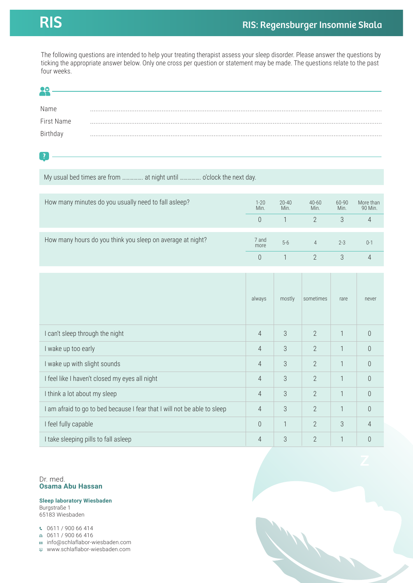The following questions are intended to help your treating therapist assess your sleep disorder. Please answer the questions by ticking the appropriate answer below. Only one cross per question or statement may be made. The questions relate to the past four weeks.

| ēά                                                                       |                  |                   |                   |               |                      |
|--------------------------------------------------------------------------|------------------|-------------------|-------------------|---------------|----------------------|
| Name                                                                     |                  |                   |                   |               |                      |
| First Name                                                               |                  |                   |                   |               |                      |
| Birthday                                                                 |                  |                   |                   |               |                      |
|                                                                          |                  |                   |                   |               |                      |
| $\overline{\mathbf{?}}$                                                  |                  |                   |                   |               |                      |
| My usual bed times are from  at night until  o'clock the next day.       |                  |                   |                   |               |                      |
|                                                                          |                  |                   |                   |               |                      |
| How many minutes do you usually need to fall asleep?                     | $1 - 20$<br>Min. | $20 - 40$<br>Min. | $40 - 60$<br>Min. | 60-90<br>Min. | More than<br>90 Min. |
|                                                                          | $\theta$         | $\mathbf{1}$      | $\overline{2}$    | 3             | 4                    |
| How many hours do you think you sleep on average at night?               | 7 and            |                   |                   |               |                      |
|                                                                          | more             | $5-6$             | $\overline{4}$    | $2 - 3$       | $0 - 1$              |
|                                                                          | $\theta$         | $\mathbf{1}$      | $\overline{2}$    | 3             | $\overline{4}$       |
|                                                                          |                  |                   |                   |               |                      |
|                                                                          |                  |                   |                   |               |                      |
|                                                                          | always           | mostly            | sometimes         | rare          | never                |
|                                                                          |                  |                   |                   |               |                      |
| I can't sleep through the night                                          | 4                | 3                 | 2                 | 1             | $\mathbb O$          |
| I wake up too early                                                      | 4                | 3                 | $\overline{2}$    | $\mathbf{1}$  | $\theta$             |
| I wake up with slight sounds                                             | 4                | $\sqrt{3}$        | $\overline{2}$    | 1             | $\theta$             |
| I feel like I haven't closed my eyes all night                           | 4                | 3                 | $\overline{2}$    | 1             | $\theta$             |
| I think a lot about my sleep                                             | $\overline{4}$   | 3                 | $\mathbf{2}$      | $\mathbf{1}$  | $\mathbf 0$          |
| I am afraid to go to bed because I fear that I will not be able to sleep | $\overline{4}$   | $\mathfrak 3$     | $\overline{2}$    | $\mathbf{1}$  | $\mathbf 0$          |
| I feel fully capable                                                     | $\theta$         | $\mathbf{1}$      | $\overline{2}$    | 3             | $\overline{4}$       |
| I take sleeping pills to fall asleep                                     | $\overline{4}$   | $\sqrt{3}$        | $\mathbf{2}$      | $\mathbb{1}$  | $\mathbb O$          |

Dr. med. **Osama Abu Hassan**

**Sleep laboratory Wiesbaden** Burgstraße 1 65183 Wiesbaden

 $0611 / 90066414$ 

 $0611 / 90066416$ 

info@schlaflabor-wiesbaden.com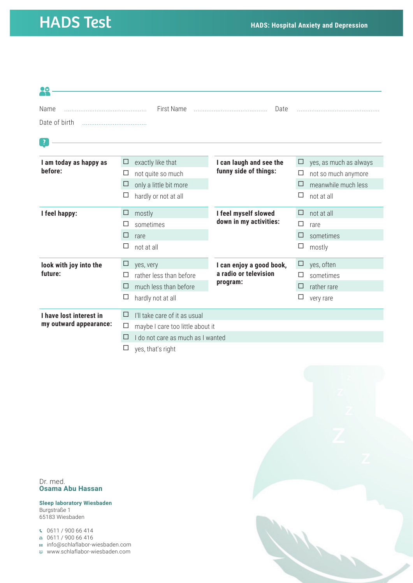### HADS Test **HADS: Hospital Anxiety and Depression**

| 98                       |        |                                   |                                                |        |                        |  |
|--------------------------|--------|-----------------------------------|------------------------------------------------|--------|------------------------|--|
| Name                     |        | First Name                        | Date                                           |        |                        |  |
| Date of birth            |        |                                   |                                                |        |                        |  |
|                          |        |                                   |                                                |        |                        |  |
| $\overline{\mathcal{L}}$ |        |                                   |                                                |        |                        |  |
|                          |        |                                   |                                                |        |                        |  |
| I am today as happy as   | □      | exactly like that                 | I can laugh and see the                        | $\Box$ | yes, as much as always |  |
| before:                  | Ħ      | not quite so much                 | funny side of things:                          | □      | not so much anymore    |  |
|                          | ⊔      | only a little bit more            |                                                | □      | meanwhile much less    |  |
|                          |        | hardly or not at all              |                                                | □      | not at all             |  |
| I feel happy:            | □      | mostly                            | I feel myself slowed<br>down in my activities: | □      | not at all             |  |
|                          |        | sometimes                         |                                                | □      | rare                   |  |
|                          | □      | rare                              |                                                | □      | sometimes              |  |
|                          | □      | not at all                        |                                                | □      | mostly                 |  |
| look with joy into the   | ⊔      | yes, very                         | I can enjoy a good book,                       | $\Box$ | yes, often             |  |
| future:                  |        | rather less than before           | a radio or television                          | ⊔      | sometimes              |  |
|                          | □      | much less than before             | program:                                       | $\Box$ | rather rare            |  |
|                          | □      | hardly not at all                 |                                                | □      | very rare              |  |
| I have lost interest in  | □      | I'll take care of it as usual     |                                                |        |                        |  |
| my outward appearance:   | ப      | maybe I care too little about it  |                                                |        |                        |  |
|                          | $\Box$ | I do not care as much as I wanted |                                                |        |                        |  |
|                          | ப      | yes, that's right                 |                                                |        |                        |  |

Dr. med. **Osama Abu Hassan**

**Sleep laboratory Wiesbaden** Burgstraße 1 65183 Wiesbaden

 $0611 / 90066414$ 

0611 / 900 66 416

info@schlaflabor-wiesbaden.com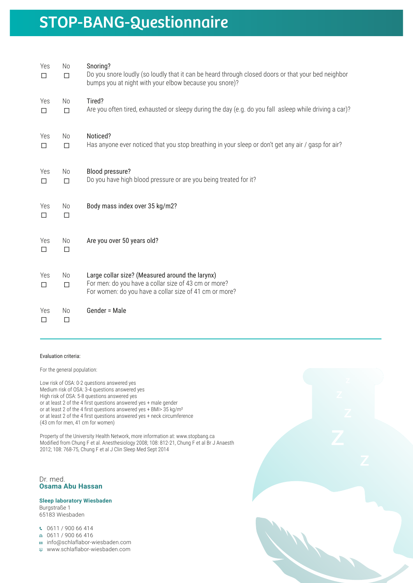### STOP-BANG-Questionnaire

| Yes<br>$\Box$ | No<br>$\Box$             | Snoring?<br>Do you snore loudly (so loudly that it can be heard through closed doors or that your bed neighbor<br>bumps you at night with your elbow because you snore)? |
|---------------|--------------------------|--------------------------------------------------------------------------------------------------------------------------------------------------------------------------|
| Yes<br>П      | No<br>$\Box$             | Tired?<br>Are you often tired, exhausted or sleepy during the day (e.g. do you fall asleep while driving a car)?                                                         |
| Yes<br>$\Box$ | No<br>$\Box$             | Noticed?<br>Has anyone ever noticed that you stop breathing in your sleep or don't get any air / gasp for air?                                                           |
| Yes<br>$\Box$ | N <sub>o</sub><br>$\Box$ | Blood pressure?<br>Do you have high blood pressure or are you being treated for it?                                                                                      |
| Yes<br>$\Box$ | No<br>$\Box$             | Body mass index over 35 kg/m2?                                                                                                                                           |
| Yes<br>$\Box$ | No<br>$\Box$             | Are you over 50 years old?                                                                                                                                               |
| Yes<br>$\Box$ | N <sub>o</sub><br>$\Box$ | Large collar size? (Measured around the larynx)<br>For men: do you have a collar size of 43 cm or more?<br>For women: do you have a collar size of 41 cm or more?        |
| Yes<br>□      | No<br>$\Box$             | Gender = Male                                                                                                                                                            |

#### Evaluation criteria:

For the general population:

Low risk of OSA: 0-2 questions answered yes Medium risk of OSA: 3-4 questions answered yes High risk of OSA: 5-8 questions answered yes or at least 2 of the 4 first questions answered yes + male gender or at least 2 of the 4 first questions answered yes + BMI> 35 kg/m² or at least 2 of the 4 first questions answered yes + neck circumference (43 cm for men, 41 cm for women)

Property of the University Health Network, more information at: www.stopbang.ca Modified from Chung F et al. Anesthesiology 2008; 108: 812-21, Chung F et al Br J Anaesth 2012; 108: 768-75, Chung F et al J Clin Sleep Med Sept 2014

Dr. med. **Osama Abu Hassan**

**Sleep laboratory Wiesbaden** Burgstraße 1 65183 Wiesbaden

0611 / 900 66 414

- $0611 / 90066416$
- info@schlaflabor-wiesbaden.com
- www.schlaflabor-wiesbaden.com

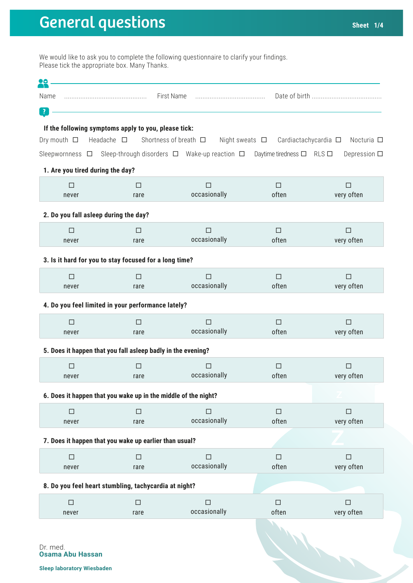# General questions **Sheet** 1/4

We would like to ask you to complete the following questionnaire to clarify your findings. Please tick the appropriate box. Many Thanks.

| ŢŌ                                                             |                    |                                                              |                                     |                      |
|----------------------------------------------------------------|--------------------|--------------------------------------------------------------|-------------------------------------|----------------------|
| Name                                                           |                    | First Name                                                   |                                     |                      |
| $\mathbf{?}$                                                   |                    |                                                              |                                     |                      |
| If the following symptoms apply to you, please tick:           |                    |                                                              |                                     |                      |
| Dry mouth $\Box$                                               | Headache $\square$ | Shortness of breath $\Box$<br>Night sweats $\Box$            | Cardiactachycardia □                | Nocturia $\Box$      |
|                                                                |                    | Sleepwornness □ Sleep-through disorders □ Wake-up reaction □ | Daytime tiredness $\Box$ RLS $\Box$ | Depression $\square$ |
| 1. Are you tired during the day?                               |                    |                                                              |                                     |                      |
| $\Box$                                                         | $\Box$             | $\Box$                                                       | $\Box$                              | $\Box$               |
| never                                                          | rare               | occasionally                                                 | often                               | very often           |
| 2. Do you fall asleep during the day?                          |                    |                                                              |                                     |                      |
| $\Box$                                                         | п                  | □                                                            | □                                   | □                    |
| never                                                          | rare               | occasionally                                                 | often                               | very often           |
| 3. Is it hard for you to stay focused for a long time?         |                    |                                                              |                                     |                      |
| $\Box$                                                         | П                  | $\Box$                                                       | $\Box$                              | $\Box$               |
| never                                                          | rare               | occasionally                                                 | often                               | very often           |
| 4. Do you feel limited in your performance lately?             |                    |                                                              |                                     |                      |
| $\Box$                                                         | П                  | $\Box$                                                       | $\Box$                              | П                    |
| never                                                          | rare               | occasionally                                                 | often                               | very often           |
| 5. Does it happen that you fall asleep badly in the evening?   |                    |                                                              |                                     |                      |
| $\Box$                                                         | $\Box$             | $\Box$                                                       | $\Box$                              | $\Box$               |
| never                                                          | rare               | occasionally                                                 | often                               | very often           |
| 6. Does it happen that you wake up in the middle of the night? |                    |                                                              |                                     |                      |
| $\Box$                                                         | $\Box$             | $\Box$                                                       | $\Box$                              | $\Box$               |
| never                                                          | rare               | occasionally                                                 | often                               | very often           |
| 7. Does it happen that you wake up earlier than usual?         |                    |                                                              |                                     |                      |
| $\Box$                                                         | $\Box$             | $\Box$                                                       | $\Box$                              | $\Box$               |
| never                                                          | rare               | occasionally                                                 | often                               | very often           |
| 8. Do you feel heart stumbling, tachycardia at night?          |                    |                                                              |                                     |                      |
| $\Box$                                                         | $\Box$             | $\Box$                                                       | $\Box$                              | $\Box$               |
| never                                                          | rare               | occasionally                                                 | often                               | very often           |
|                                                                |                    |                                                              |                                     |                      |
| Dr. med.                                                       |                    |                                                              |                                     |                      |
| <b>Osama Abu Hassan</b>                                        |                    |                                                              |                                     |                      |
| <b>Sleep laboratory Wiesbaden</b>                              |                    |                                                              |                                     |                      |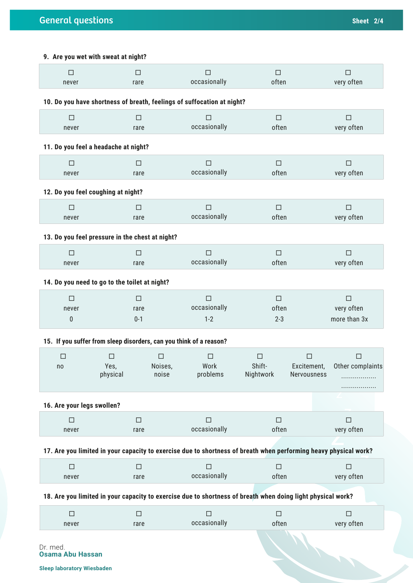### **9. Are you wet with sweat at night?**

| $\Box$                     | $\Box$                                                             |                  | $\Box$                                                                                                      | $\Box$              | $\Box$                                                                                                           |
|----------------------------|--------------------------------------------------------------------|------------------|-------------------------------------------------------------------------------------------------------------|---------------------|------------------------------------------------------------------------------------------------------------------|
| never                      | rare                                                               |                  | occasionally                                                                                                | often               | very often                                                                                                       |
|                            |                                                                    |                  | 10. Do you have shortness of breath, feelings of suffocation at night?                                      |                     |                                                                                                                  |
| П<br>never                 | □<br>rare                                                          |                  | $\Box$<br>occasionally                                                                                      | $\Box$<br>often     | $\Box$<br>very often                                                                                             |
|                            |                                                                    |                  |                                                                                                             |                     |                                                                                                                  |
|                            | 11. Do you feel a headache at night?                               |                  |                                                                                                             |                     |                                                                                                                  |
| $\Box$<br>never            | $\Box$<br>rare                                                     |                  | $\Box$<br>occasionally                                                                                      | $\Box$<br>often     | $\Box$<br>very often                                                                                             |
|                            |                                                                    |                  |                                                                                                             |                     |                                                                                                                  |
|                            | 12. Do you feel coughing at night?                                 |                  |                                                                                                             |                     |                                                                                                                  |
| □<br>never                 | □<br>rare                                                          |                  | □<br>occasionally                                                                                           | □<br>often          | □<br>very often                                                                                                  |
|                            |                                                                    |                  |                                                                                                             |                     |                                                                                                                  |
|                            | 13. Do you feel pressure in the chest at night?                    |                  |                                                                                                             |                     |                                                                                                                  |
| $\Box$<br>never            | $\Box$<br>rare                                                     |                  | $\Box$<br>occasionally                                                                                      | $\Box$<br>often     | $\Box$<br>very often                                                                                             |
|                            |                                                                    |                  |                                                                                                             |                     |                                                                                                                  |
|                            | 14. Do you need to go to the toilet at night?                      |                  |                                                                                                             |                     |                                                                                                                  |
| $\Box$<br>never            | □<br>rare                                                          |                  | □<br>occasionally                                                                                           | □<br>often          | □<br>very often                                                                                                  |
| 0                          | $0 - 1$                                                            |                  | $1 - 2$                                                                                                     | $2 - 3$             | more than 3x                                                                                                     |
|                            | 15. If you suffer from sleep disorders, can you think of a reason? |                  |                                                                                                             |                     |                                                                                                                  |
| $\Box$                     | □                                                                  | □                | □                                                                                                           | $\Box$              | □<br>П                                                                                                           |
| no                         | Yes,<br>physical                                                   | Noises,<br>noise | Work<br>problems                                                                                            | Shift-<br>Nightwork | Excitement,<br>Other complaints<br>Nervousness<br>.                                                              |
|                            |                                                                    |                  |                                                                                                             |                     |                                                                                                                  |
| 16. Are your legs swollen? |                                                                    |                  |                                                                                                             |                     |                                                                                                                  |
| П<br>never                 | $\Box$<br>rare                                                     |                  | □<br>occasionally                                                                                           | □<br>often          | $\Box$<br>very often                                                                                             |
|                            |                                                                    |                  |                                                                                                             |                     | 17. Are you limited in your capacity to exercise due to shortness of breath when performing heavy physical work? |
| $\Box$                     | $\Box$                                                             |                  | $\Box$                                                                                                      | $\Box$              | $\Box$                                                                                                           |
| never                      | rare                                                               |                  | occasionally                                                                                                | often               | very often                                                                                                       |
|                            |                                                                    |                  | 18. Are you limited in your capacity to exercise due to shortness of breath when doing light physical work? |                     |                                                                                                                  |
| $\Box$                     | $\Box$                                                             |                  | $\Box$                                                                                                      | $\Box$              | $\Box$                                                                                                           |
| never                      | rare                                                               |                  | occasionally                                                                                                | often               | very often                                                                                                       |
| Dr. med.                   |                                                                    |                  |                                                                                                             |                     |                                                                                                                  |

**Osama Abu Hassan**

**Sleep laboratory Wiesbaden**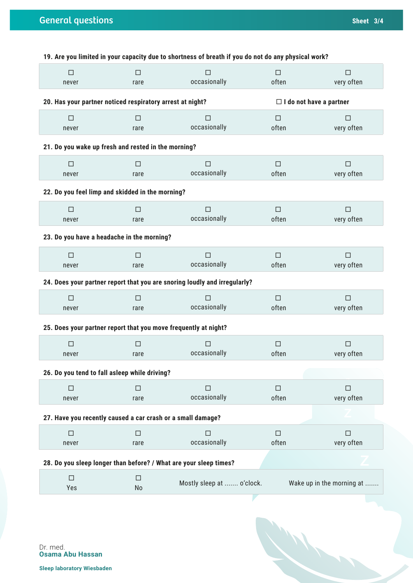|                                                             |                | 19. Are you limited in your capacity due to shortness of breath if you do not do any physical work? |                 |                                |
|-------------------------------------------------------------|----------------|-----------------------------------------------------------------------------------------------------|-----------------|--------------------------------|
| $\Box$<br>never                                             | $\Box$<br>rare | $\Box$<br>occasionally                                                                              | $\Box$<br>often | $\Box$<br>very often           |
| 20. Has your partner noticed respiratory arrest at night?   |                |                                                                                                     |                 | $\Box$ I do not have a partner |
| $\Box$<br>never                                             | □<br>rare      | $\Box$<br>occasionally                                                                              | $\Box$<br>often | $\Box$<br>very often           |
| 21. Do you wake up fresh and rested in the morning?         |                |                                                                                                     |                 |                                |
| $\Box$<br>never                                             | $\Box$<br>rare | $\Box$<br>occasionally                                                                              | $\Box$<br>often | $\Box$<br>very often           |
| 22. Do you feel limp and skidded in the morning?            |                |                                                                                                     |                 |                                |
| $\Box$<br>never                                             | $\Box$<br>rare | $\Box$<br>occasionally                                                                              | $\Box$<br>often | $\Box$<br>very often           |
| 23. Do you have a headache in the morning?                  |                |                                                                                                     |                 |                                |
| $\Box$<br>never                                             | $\Box$<br>rare | $\Box$<br>occasionally                                                                              | $\Box$<br>often | $\Box$<br>very often           |
|                                                             |                | 24. Does your partner report that you are snoring loudly and irregularly?                           |                 |                                |
| $\Box$<br>never                                             | $\Box$<br>rare | $\Box$<br>occasionally                                                                              | $\Box$<br>often | $\Box$<br>very often           |
|                                                             |                | 25. Does your partner report that you move frequently at night?                                     |                 |                                |
| $\Box$<br>never                                             | $\Box$<br>rare | $\Box$<br>occasionally                                                                              | $\Box$<br>often | $\Box$<br>very often           |
| 26. Do you tend to fall asleep while driving?               |                |                                                                                                     |                 |                                |
| $\Box$<br>never                                             | □<br>rare      | $\Box$<br>occasionally                                                                              | $\Box$<br>often | $\Box$<br>very often           |
| 27. Have you recently caused a car crash or a small damage? |                |                                                                                                     |                 |                                |
| $\Box$<br>never                                             | $\Box$<br>rare | $\Box$<br>occasionally                                                                              | $\Box$<br>often | $\Box$<br>very often           |
|                                                             |                | 28. Do you sleep longer than before? / What are your sleep times?                                   |                 |                                |
| $\Box$<br>Yes                                               | $\Box$<br>No   | Mostly sleep at  o'clock.                                                                           |                 | Wake up in the morning at      |

1

Dr. med. **Osama Abu Hassan**

**Sleep laboratory Wiesbaden**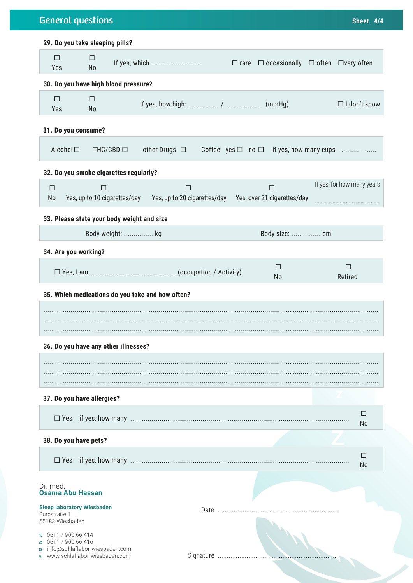| 29. Do you take sleeping pills?<br>$\Box$<br>□<br>If yes, which<br>$\Box$ rare $\Box$ occasionally $\Box$ often $\Box$ very often<br>Yes<br>No<br>30. Do you have high blood pressure?<br>$\Box$<br>□<br>Yes<br>No<br>Alcohol □<br>THC/CBD $\Box$<br>other Drugs $\Box$<br>Coffee $yes \Box no \Box$ if yes, how many cups<br>$\Box$<br>$\Box$<br>$\Box$<br>$\Box$<br>Yes, up to 10 cigarettes/day Yes, up to 20 cigarettes/day Yes, over 21 cigarettes/day<br>No<br>Body weight:  kg<br>Body size:  cm<br>п<br>□<br>Retired<br>No<br>$\perp$<br>$\Box$ Yes<br>No<br>П<br>$\Box$ Yes<br>No<br>Date | <b>General questions</b> | Sheet 4/4 |
|----------------------------------------------------------------------------------------------------------------------------------------------------------------------------------------------------------------------------------------------------------------------------------------------------------------------------------------------------------------------------------------------------------------------------------------------------------------------------------------------------------------------------------------------------------------------------------------------------|--------------------------|-----------|
|                                                                                                                                                                                                                                                                                                                                                                                                                                                                                                                                                                                                    |                          |           |
| $\Box$ I don't know                                                                                                                                                                                                                                                                                                                                                                                                                                                                                                                                                                                |                          |           |
|                                                                                                                                                                                                                                                                                                                                                                                                                                                                                                                                                                                                    |                          |           |
| 31. Do you consume?<br>32. Do you smoke cigarettes regularly?<br>If yes, for how many years<br>33. Please state your body weight and size<br>34. Are you working?                                                                                                                                                                                                                                                                                                                                                                                                                                  |                          |           |
|                                                                                                                                                                                                                                                                                                                                                                                                                                                                                                                                                                                                    |                          |           |
|                                                                                                                                                                                                                                                                                                                                                                                                                                                                                                                                                                                                    |                          |           |
| 35. Which medications do you take and how often?<br>36. Do you have any other illnesses?                                                                                                                                                                                                                                                                                                                                                                                                                                                                                                           |                          |           |
|                                                                                                                                                                                                                                                                                                                                                                                                                                                                                                                                                                                                    |                          |           |
|                                                                                                                                                                                                                                                                                                                                                                                                                                                                                                                                                                                                    |                          |           |
|                                                                                                                                                                                                                                                                                                                                                                                                                                                                                                                                                                                                    |                          |           |
|                                                                                                                                                                                                                                                                                                                                                                                                                                                                                                                                                                                                    |                          |           |
|                                                                                                                                                                                                                                                                                                                                                                                                                                                                                                                                                                                                    |                          |           |
|                                                                                                                                                                                                                                                                                                                                                                                                                                                                                                                                                                                                    |                          |           |
|                                                                                                                                                                                                                                                                                                                                                                                                                                                                                                                                                                                                    |                          |           |
| 37. Do you have allergies?                                                                                                                                                                                                                                                                                                                                                                                                                                                                                                                                                                         |                          |           |
|                                                                                                                                                                                                                                                                                                                                                                                                                                                                                                                                                                                                    |                          |           |
|                                                                                                                                                                                                                                                                                                                                                                                                                                                                                                                                                                                                    |                          |           |
|                                                                                                                                                                                                                                                                                                                                                                                                                                                                                                                                                                                                    |                          |           |
|                                                                                                                                                                                                                                                                                                                                                                                                                                                                                                                                                                                                    |                          |           |
|                                                                                                                                                                                                                                                                                                                                                                                                                                                                                                                                                                                                    |                          |           |
| 38. Do you have pets?                                                                                                                                                                                                                                                                                                                                                                                                                                                                                                                                                                              |                          |           |
|                                                                                                                                                                                                                                                                                                                                                                                                                                                                                                                                                                                                    |                          |           |
| Dr. med.<br><b>Osama Abu Hassan</b>                                                                                                                                                                                                                                                                                                                                                                                                                                                                                                                                                                |                          |           |
| <b>Sleep laboratory Wiesbaden</b><br>Burgstraße 1                                                                                                                                                                                                                                                                                                                                                                                                                                                                                                                                                  |                          |           |
|                                                                                                                                                                                                                                                                                                                                                                                                                                                                                                                                                                                                    |                          |           |
| 65183 Wiesbaden<br>0611 / 900 66 414<br>K.<br>0611 / 900 66 416                                                                                                                                                                                                                                                                                                                                                                                                                                                                                                                                    |                          |           |
| ■ info@schlaflabor-wiesbaden.com<br>www.schlaflabor-wiesbaden.com                                                                                                                                                                                                                                                                                                                                                                                                                                                                                                                                  |                          |           |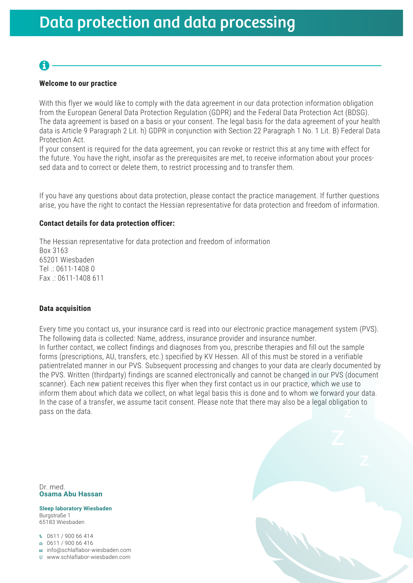### A

### **Welcome to our practice**

With this flyer we would like to comply with the data agreement in our data protection information obligation from the European General Data Protection Regulation (GDPR) and the Federal Data Protection Act (BDSG). The data agreement is based on a basis or your consent. The legal basis for the data agreement of your health data is Article 9 Paragraph 2 Lit. h) GDPR in conjunction with Section 22 Paragraph 1 No. 1 Lit. B) Federal Data Protection Act.

If your consent is required for the data agreement, you can revoke or restrict this at any time with effect for the future. You have the right, insofar as the prerequisites are met, to receive information about your processed data and to correct or delete them, to restrict processing and to transfer them.

If you have any questions about data protection, please contact the practice management. If further questions arise, you have the right to contact the Hessian representative for data protection and freedom of information.

#### **Contact details for data protection officer:**

The Hessian representative for data protection and freedom of information Box 3163 65201 Wiesbaden Tel .: 0611-1408 0 Fax .: 0611-1408 611

#### **Data acquisition**

Every time you contact us, your insurance card is read into our electronic practice management system (PVS). The following data is collected: Name, address, insurance provider and insurance number. In further contact, we collect findings and diagnoses from you, prescribe therapies and fill out the sample forms (prescriptions, AU, transfers, etc.) specified by KV Hessen. All of this must be stored in a verifiable patientrelated manner in our PVS. Subsequent processing and changes to your data are clearly documented by the PVS. Written (thirdparty) findings are scanned electronically and cannot be changed in our PVS (document scanner). Each new patient receives this flyer when they first contact us in our practice, which we use to inform them about which data we collect, on what legal basis this is done and to whom we forward your data. In the case of a transfer, we assume tacit consent. Please note that there may also be a legal obligation to pass on the data.

Dr. med. **Osama Abu Hassan**

**Sleep laboratory Wiesbaden** Burgstraße 1 65183 Wiesbaden

0611 / 900 66 414

0611 / 900 66 416

info@schlaflabor-wiesbaden.com